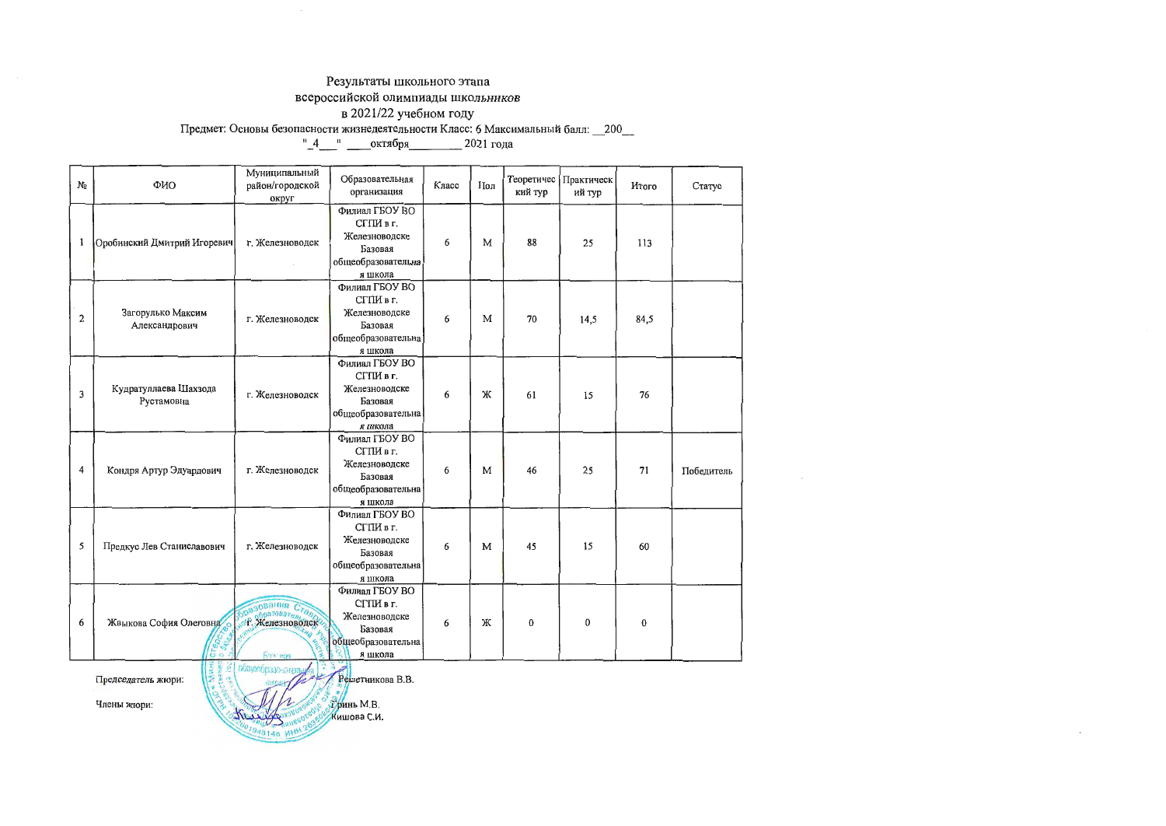#### Результаты школьного этапа

всероссийской олимпиады школьников

в 2021/22 учебном году<br>Предмет: Основы безопасности жизнедеятельности Класс: 6 Максимальный балл: 200\_\_\_<br>"\_4\_\_\_" \_\_\_\_\_ октября\_\_\_\_\_\_\_\_\_ 2021 года

| Nα                                                                                      | ФИО                                    | Муниципальный<br>район/городской<br>округ | Образовательная<br>организация                                                            | Класс | Пол | кий тур  | Теоретичес Практическ<br>ий тур | Итого    | Статус     |
|-----------------------------------------------------------------------------------------|----------------------------------------|-------------------------------------------|-------------------------------------------------------------------------------------------|-------|-----|----------|---------------------------------|----------|------------|
| 1                                                                                       | Оробинский Дмитрий Игоревич            | г. Железноводск                           | Филиал ГБОУ ВО<br>СГПИ в г.<br>Железноводске<br>Базовая<br>общеобразовательна<br>я школа  | 6     | M   | 88       | 25                              | 113      |            |
| $\overline{2}$                                                                          | Загорулько Максим<br>Александрович     | г. Железноводск                           | Филиал ГБОУ ВО<br>СГПИ в г.<br>Железноводске<br>Базовая<br>общеобразовательна<br>я школа  | 6     | M   | 70       | 14,5                            | 84,5     |            |
| 3                                                                                       | Кудратуллаева Шахзода<br>Рустамовна    | г. Железноводск                           | Филиал ГБОУ ВО<br>СГПИ в г.<br>Железноводске<br>Базовая<br>общеобразовательна<br>я школа  | 6     | Ж   | 61       | 15                              | 76       |            |
| 4                                                                                       | Кондря Артур Эдуардович                | г. Железноводск                           | Филиал ГБОУ ВО<br>СГПИ в г.<br>Железноводске<br>Базовая<br>общеобразовательна<br>я школа  | 6     | M   | 46       | 25                              | 71       | Победитель |
| 5                                                                                       | Предкус Лев Станиславович              | г. Железноводск                           | Филиал ГБОУ ВО<br>СГПИ в г.<br>Железноводске<br>Базовая<br>общеобразовательна<br>я школа  | 6     | M   | 45       | 15                              | 60       |            |
| 6                                                                                       | Жвыкова София Олеговна<br>$\mathbf{c}$ | SpasoBaHua Crange<br><b>Banciego</b>      | Филиал ГБОУ ВО<br>СГПИ в г.<br>Железноводске<br>Базовая<br>общес бразовательна<br>я школа | 6     | Ж   | $\bf{0}$ | $\bf{0}$                        | $\bf{0}$ |            |
| <b>MARIE</b><br>CLEARED<br>obstendpaso-sareny<br>Решетникова В.В.<br>Председатель жюри: |                                        |                                           |                                                                                           |       |     |          |                                 |          |            |

÷.

Члены жюри:

.<br>Уринь М.В.<br>Кишова С.И.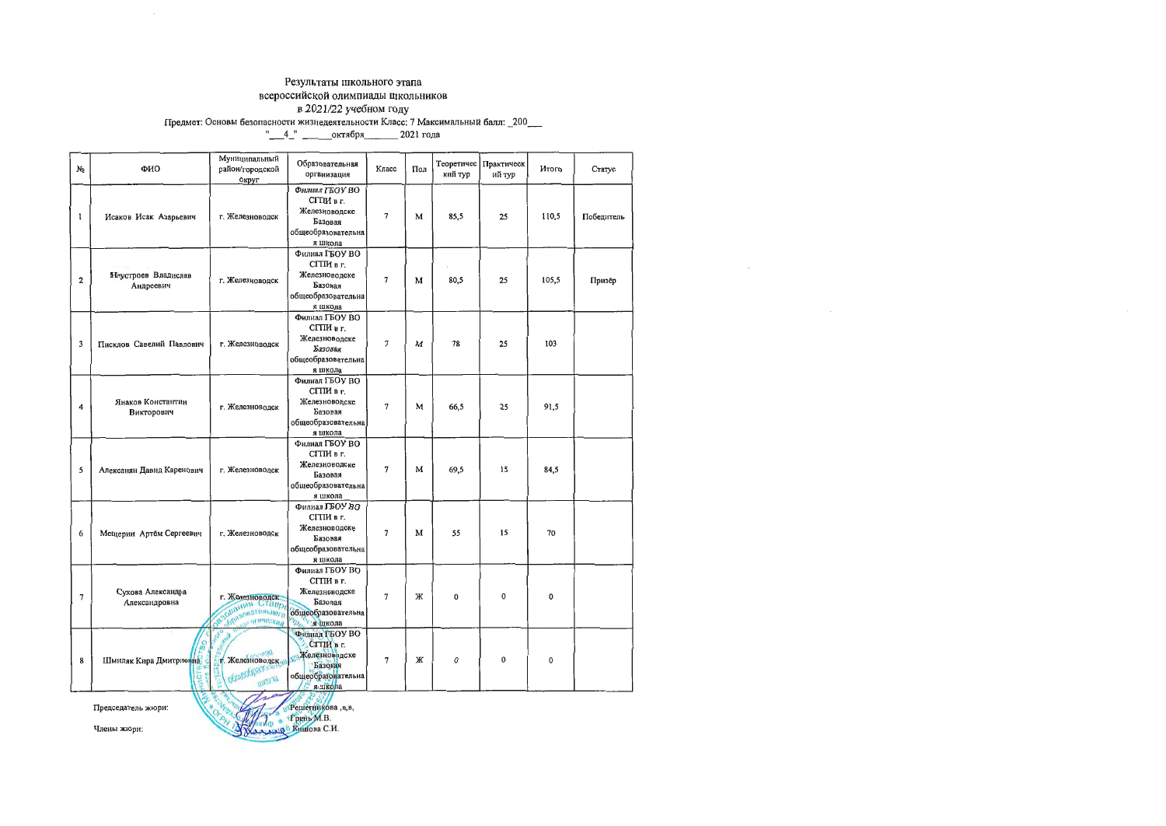## Результаты школьного этапа всероссийской олимпиады школьников

n.

| N⊵                      | ФИО                                                                                     | Муниципальный<br>район/городской<br>округ                                 | Образовательная<br>организация                                                                          | Класс          | Пол | кий тур | Теоретичес   Практическ<br>ий тур | <b>H</b> roro | Статус     |  |
|-------------------------|-----------------------------------------------------------------------------------------|---------------------------------------------------------------------------|---------------------------------------------------------------------------------------------------------|----------------|-----|---------|-----------------------------------|---------------|------------|--|
| ı                       | Исаков Исак Азарьевич                                                                   | г. Железноводск                                                           | Филиал ГБОУ ВО<br>СГПИ в г.<br>Железноводске<br>Базовая<br>общеобразовательна<br>я школа                | $\overline{7}$ | м   | 85,5    | 25                                | 110,5         | Победитель |  |
| $\overline{\mathbf{2}}$ | Неустроев Владислав<br>Андреевич                                                        | г. Железноводск                                                           | Филиал ГБОУ ВО<br>СГПИ в г.<br>Железноводске<br>Базовая<br>общеобразовательна<br>я школа                | $\overline{7}$ | м   | 80,5    | 25                                | 105,5         | Призёр     |  |
| 3                       | Писклов Савелий Павлович                                                                | г. Железноводск                                                           | Филнал ГБОУ ВО<br>СГПИ в г.<br>Железноводске<br>Базовая<br>общеобразовательна<br>я школа                | 7              | M   | 78      | 25                                | 103           |            |  |
| 4                       | Янаков Константин<br>Викторович                                                         | г. Железноводск                                                           | Филиал ГБОУ ВО<br>СГПИ в г.<br>Железноводске<br>Базовая<br>общеобразовательна<br>я школа                | 7              | M   | 66,5    | 25                                | 91,5          |            |  |
| 5                       | Алексанян Давид Каренович                                                               | г. Железноводск                                                           | Филиал ГБОУ ВО<br>СГПИ в г.<br>Железноводске<br>Базовая<br>общеобразовательна<br>я школа                | 7              | M   | 69,5    | 15                                | 84,5          |            |  |
| 6                       | Мещерин Артём Сергеевич                                                                 | г. Железноводск                                                           | Филиал ГБОУ ВО<br>СГПИ в г.<br>Железноводске<br>Базовая<br>общеобразовательна<br>я школа                | 7              | M   | 55      | 15                                | 70            |            |  |
| $\overline{7}$          | Сухова Александра<br>Александровна                                                      | обрания Ставре                                                            | Филиал ГБОУ ВО<br>СГПИ в г.<br>Железноводске<br>Базовая<br>общеобразовательна<br><b>VDE</b><br>кола и   | 7              | Ж   | 0       | 0                                 | 0             |            |  |
| 8                       | Шмиляк Кира Дмитриевна                                                                  | All N<br>Ş<br>г. Железноводск <sub>и</sub><br><b>OUVISORIES</b><br>mgo gi | Филиал ГБОУ ВО<br>СГПИ в г.<br><b>Железноводске</b><br>Базовая<br>общеобразовательна<br><b>В ящкола</b> | 7              | Ж   | 0       | 0                                 | 0             |            |  |
|                         | Source MM<br>Решетникова, в, в,<br>Председатель жюри:<br>OrpH<br>$2^{*}$<br>«Гринь М.В. |                                                                           |                                                                                                         |                |     |         |                                   |               |            |  |

Члены жюри:

RASSING KHIHOBA C.H.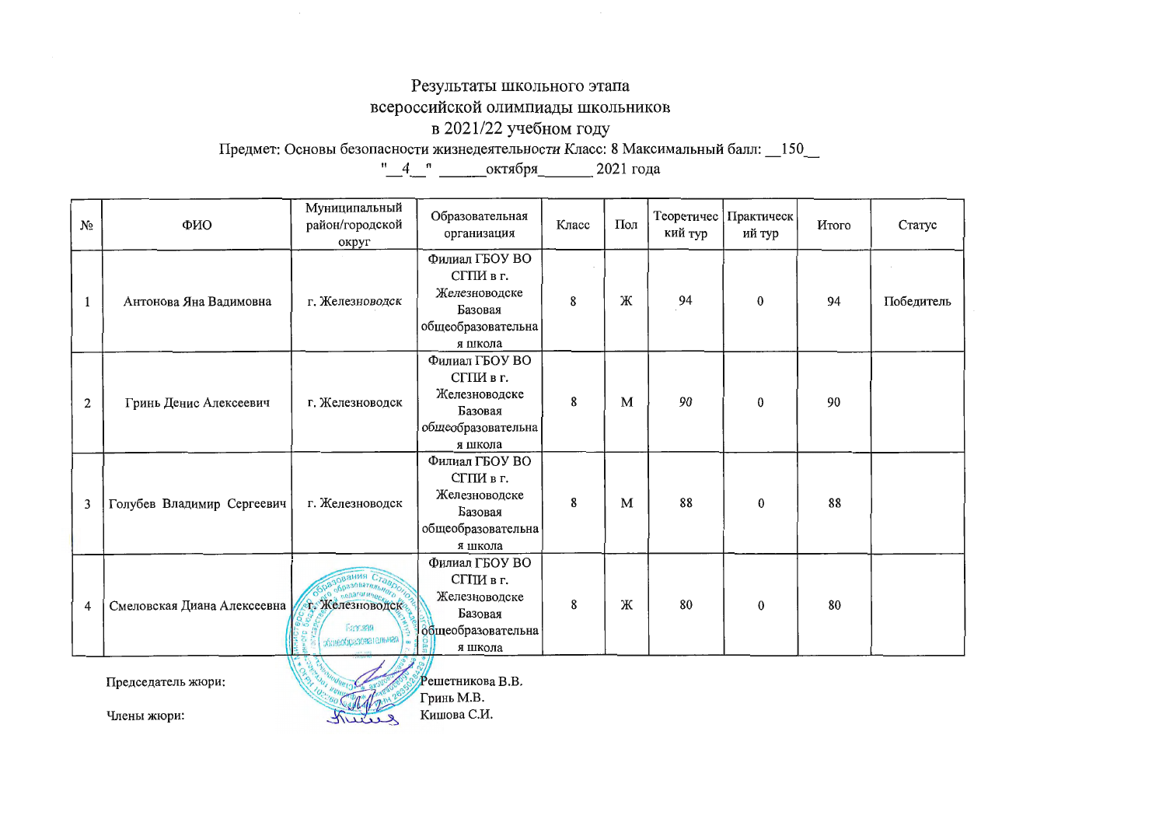# Результаты школьного этапа

всероссийской олимпиады школьников

### в 2021/22 учебном году

Предмет: Основы безопасности жизнедеятельности Класс: 8 Максимальный балл: 150\_

| No | ФИО                               | Муниципальный<br>район/городской<br>округ                      | Образовательная<br>организация                                                           | Класс | Пол | Теоретичес<br>кий тур | Практическ<br>ий тур | Итого | Статус     |
|----|-----------------------------------|----------------------------------------------------------------|------------------------------------------------------------------------------------------|-------|-----|-----------------------|----------------------|-------|------------|
| 1  | Антонова Яна Вадимовна            | г. Железноводск                                                | Филиал ГБОУ ВО<br>СГПИ в г.<br>Железноводске<br>Базовая<br>общеобразовательна<br>я школа | 8     | Ж   | 94                    | $\bf{0}$             | 94    | Победитель |
| 2  | Гринь Денис Алексеевич            | г. Железноводск                                                | Филиал ГБОУ ВО<br>СГПИ в г.<br>Железноводске<br>Базовая<br>общеобразовательна<br>я школа | 8     | M   | 90                    | $\bf{0}$             | 90    |            |
| 3  | Голубев Владимир Сергеевич        | г. Железноводск                                                | Филиал ГБОУ ВО<br>СГПИ в г.<br>Железноводске<br>Базовая<br>общеобразовательна<br>я школа | 8     | M   | 88                    | $\bf{0}$             | 88    |            |
| 4  | Смеловская Диана Алексеевна       | <b>• Железноводск</b><br><b>Fax:aaa</b><br>общеобразовательная | Филиал ГБОУ ВО<br>СГПИ в г.<br>Железноводске<br>Базовая<br>общеобразовательна<br>я школа | 8     | Ж   | 80                    | $\bf{0}$             | 80    |            |
|    | Председатель жюри:<br>Члены жюри: |                                                                | Решетникова В.В.<br>Гринь М.В.<br>Кишова С.И.                                            |       |     |                       |                      |       |            |